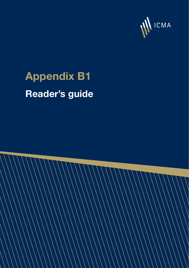

## **Appendix B1 Reader's guide**